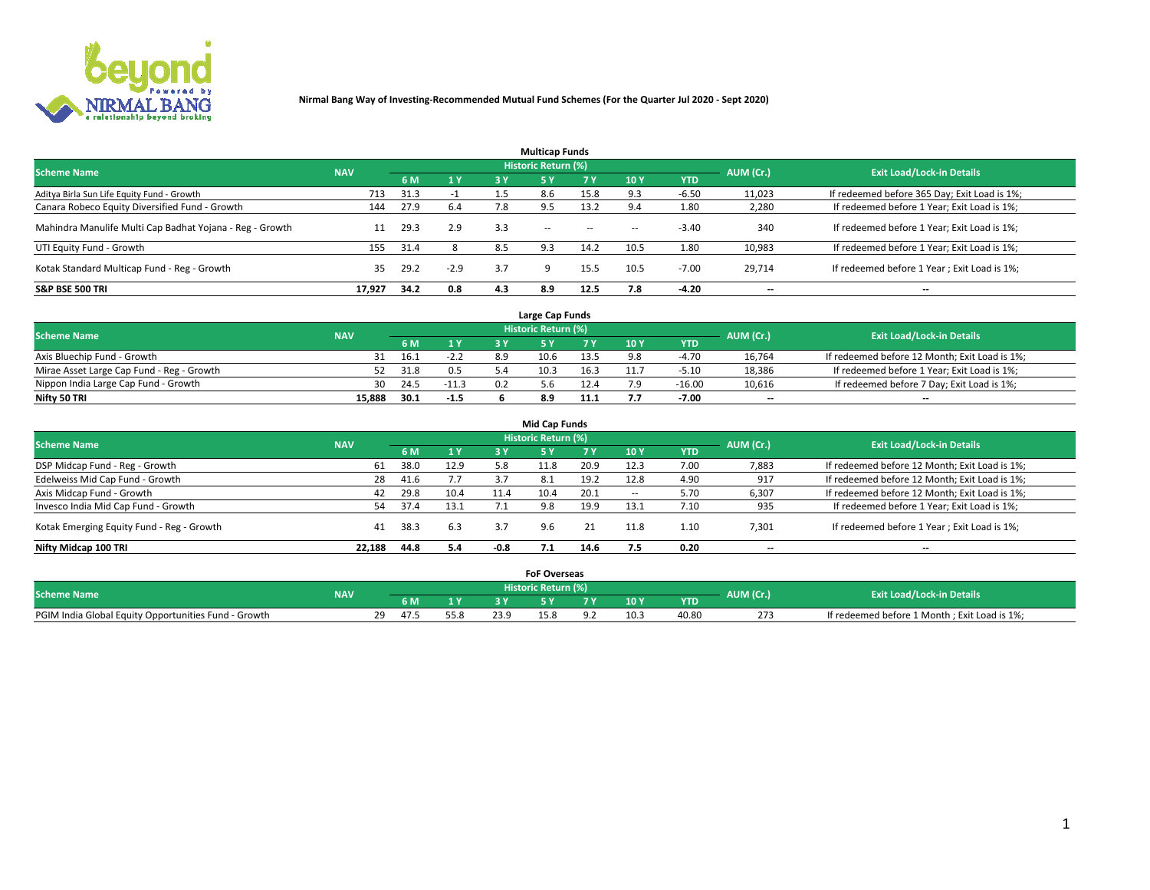

|                                                          |            |      |                |     | <b>Multicap Funds</b> |           |      |            |           |                                              |
|----------------------------------------------------------|------------|------|----------------|-----|-----------------------|-----------|------|------------|-----------|----------------------------------------------|
| <b>Scheme Name</b>                                       | <b>NAV</b> |      |                |     | Historic Return (%)   |           |      |            | AUM (Cr.) | <b>Exit Load/Lock-in Details</b>             |
|                                                          |            | 6 M  | 1 <sub>Y</sub> | 3 Y | <b>5Y</b>             | <b>7Y</b> | 10Y  | <b>YTD</b> |           |                                              |
| Aditya Birla Sun Life Equity Fund - Growth               | 713        | 31.3 |                | 1.5 | 8.6                   | 15.8      |      | $-6.50$    | 11,023    | If redeemed before 365 Day; Exit Load is 1%; |
| Canara Robeco Equity Diversified Fund - Growth           | 144        | 27.9 | 6.4            | 7.8 | 9.5                   | 13.2      |      | 1.80       | 2,280     | If redeemed before 1 Year; Exit Load is 1%;  |
| Mahindra Manulife Multi Cap Badhat Yojana - Reg - Growth | 11         | 29.3 | 2.9            | 3.3 | $\sim$ $-$            | $\sim$    | $-$  | $-3.40$    | 340       | If redeemed before 1 Year; Exit Load is 1%;  |
| UTI Equity Fund - Growth                                 | 155        | 31.4 |                | 8.5 | 9.3                   | 14.2      | 10.5 | 1.80       | 10,983    | If redeemed before 1 Year; Exit Load is 1%;  |
| Kotak Standard Multicap Fund - Reg - Growth              | 35         | 29.2 | $-2.9$         | 3.7 |                       | 15.5      | 10.5 | $-7.00$    | 29.714    | If redeemed before 1 Year; Exit Load is 1%;  |
| <b>S&amp;P BSE 500 TRI</b>                               | 17.927     | 34.2 | 0.8            | 4.3 | 8.9                   | 12.5      | 7.8  | $-4.20$    | --        | $- -$                                        |

|                                           |            |      |         |     | Large Cap Funds     |      |      |            |                          |                                               |
|-------------------------------------------|------------|------|---------|-----|---------------------|------|------|------------|--------------------------|-----------------------------------------------|
| <b>Scheme Name</b>                        | <b>NAV</b> |      |         |     | Historic Return (%) |      |      |            | AUM (Cr.)                | <b>Exit Load/Lock-in Details</b>              |
|                                           |            | 6 M  | 4V      |     |                     |      | 10 Y | <b>YTD</b> |                          |                                               |
| Axis Bluechip Fund - Growth               |            | 16.1 | $-2.2$  | 8.9 | 10.6                | 13.5 |      | -4.70      | 16,764                   | If redeemed before 12 Month; Exit Load is 1%; |
| Mirae Asset Large Cap Fund - Reg - Growth |            | 31.8 | 0.5     |     | 10.3                | 16.3 |      | $-5.10$    | 18,386                   | If redeemed before 1 Year; Exit Load is 1%;   |
| Nippon India Large Cap Fund - Growth      | 30         | 24.5 | $-11.3$ | 0.2 |                     |      |      | $-16.00$   | 10,616                   | If redeemed before 7 Day; Exit Load is 1%;    |
| Nifty 50 TRI                              | 15.888     | 30.1 | $-1.5$  |     |                     |      |      | $-7.00$    | $\overline{\phantom{a}}$ | $- -$                                         |

| <b>Mid Cap Funds</b>                      |                                                                |      |      |      |      |           |             |            |                          |                                               |  |  |  |  |
|-------------------------------------------|----------------------------------------------------------------|------|------|------|------|-----------|-------------|------------|--------------------------|-----------------------------------------------|--|--|--|--|
|                                           | <b>Historic Return (%)</b><br><b>Scheme Name</b><br><b>NAV</b> |      |      |      |      |           |             |            |                          |                                               |  |  |  |  |
|                                           |                                                                | 6 M  | 1 Y  | 3 Y  | .5 Y | <b>7Y</b> | <b>10 Y</b> | <b>YTD</b> | AUM (Cr.)                | <b>Exit Load/Lock-in Details</b>              |  |  |  |  |
| DSP Midcap Fund - Reg - Growth            | 61                                                             | 38.0 | 12.9 | 5.8  | 11.8 | 20.9      | 12.3        | 7.00       | 7,883                    | If redeemed before 12 Month; Exit Load is 1%; |  |  |  |  |
| Edelweiss Mid Cap Fund - Growth           | 28                                                             | 41.6 | 7.7  | 3.7  | -8.1 | 19.2      | 12.8        | 4.90       | 917                      | If redeemed before 12 Month; Exit Load is 1%; |  |  |  |  |
| Axis Midcap Fund - Growth                 | 42                                                             | 29.8 | 10.4 | 11.4 | 10.4 | 20.1      | $-$         | 5.70       | 6,307                    | If redeemed before 12 Month; Exit Load is 1%; |  |  |  |  |
| Invesco India Mid Cap Fund - Growth       | 54                                                             | 37.4 | 13.1 |      | 9.8  | 19.9      | 13.1        | 7.10       | 935                      | If redeemed before 1 Year; Exit Load is 1%;   |  |  |  |  |
| Kotak Emerging Equity Fund - Reg - Growth | 41                                                             | 38.3 | 6.3  | 3.7  | 9.6  | 21        | 11.8        | 1.10       | 7,301                    | If redeemed before 1 Year; Exit Load is 1%;   |  |  |  |  |
| Nifty Midcap 100 TRI                      | 22.188                                                         | 44.8 | 5.4  | -0.8 |      | 14.6      | 7.5         | 0.20       | $\overline{\phantom{a}}$ | $- -$                                         |  |  |  |  |

|                                                      |            |     |    |      | <b>FoF Overseas</b> |      |            |           |                                              |
|------------------------------------------------------|------------|-----|----|------|---------------------|------|------------|-----------|----------------------------------------------|
| <b>Scheme Name</b>                                   | <b>NAV</b> |     |    |      | Historic Return (%) |      |            | AUM (Cr.) | <b>Exit Load/Lock-in Details</b>             |
|                                                      |            | 6 M | 1Y |      |                     | 10 Y | <b>YTD</b> |           |                                              |
| PGIM India Global Equity Opportunities Fund - Growth |            |     |    | 23.9 | 0.د پ               |      | 40.80      | 273       | If redeemed before 1 Month; Exit Load is 1%; |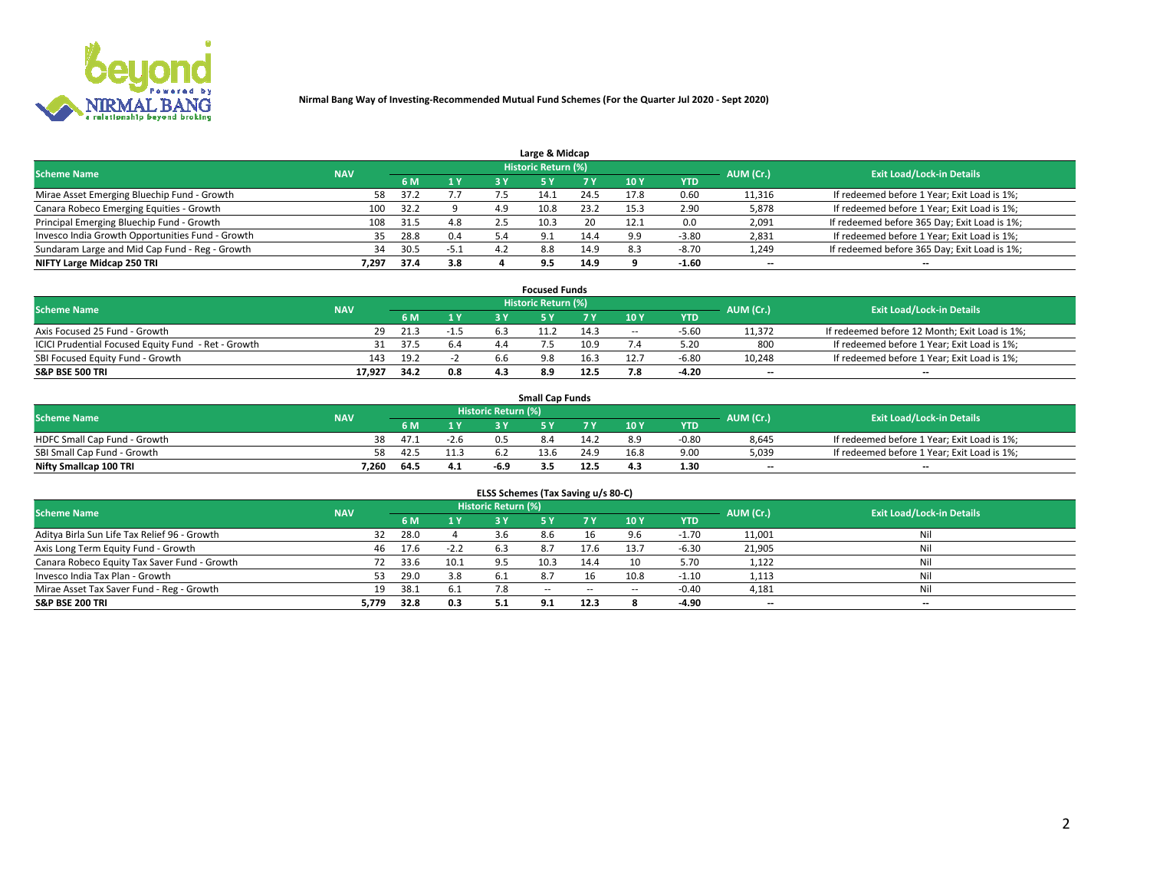

| Large & Midcap                                   |            |      |        |     |                            |      |      |            |                          |                                              |  |  |  |  |
|--------------------------------------------------|------------|------|--------|-----|----------------------------|------|------|------------|--------------------------|----------------------------------------------|--|--|--|--|
| <b>Scheme Name</b>                               | <b>NAV</b> |      |        |     | <b>Historic Return (%)</b> |      |      |            | AUM (Cr.)                | <b>Exit Load/Lock-in Details</b>             |  |  |  |  |
|                                                  |            | 6 M  | 1 Y    |     |                            | 7 V  | 10Y  | <b>YTD</b> |                          |                                              |  |  |  |  |
| Mirae Asset Emerging Bluechip Fund - Growth      | 58         | 37.2 |        |     |                            | 24.5 | 17.8 | 0.60       | 11,316                   | If redeemed before 1 Year; Exit Load is 1%;  |  |  |  |  |
| Canara Robeco Emerging Equities - Growth         | 100        | 32.2 |        | 4.9 | 10.8                       | 23.2 | 15.3 | 2.90       | 5,878                    | If redeemed before 1 Year; Exit Load is 1%;  |  |  |  |  |
| Principal Emerging Bluechip Fund - Growth        | 108        | 31.5 | 4.8    |     | 10.3                       | 20   | 12.1 | 0.0        | 2,091                    | If redeemed before 365 Day; Exit Load is 1%; |  |  |  |  |
| Invesco India Growth Opportunities Fund - Growth | 35         | 28.8 | 0.4    | 5.4 | Q                          | 14.4 | 9.9  | $-3.80$    | 2,831                    | If redeemed before 1 Year; Exit Load is 1%;  |  |  |  |  |
| Sundaram Large and Mid Cap Fund - Reg - Growth   | 34         | 30.5 | $-5.1$ |     | 8.8                        | 14.9 | 8.3  | $-8.70$    | 1,249                    | If redeemed before 365 Day; Exit Load is 1%; |  |  |  |  |
| NIFTY Large Midcap 250 TRI                       | 7.297      | 37.4 | 3.8    |     | 9.5                        | 14.9 |      | $-1.60$    | $\overline{\phantom{a}}$ | $- -$                                        |  |  |  |  |

|                                                     |            |                                  |        |     | <b>Focused Funds</b> |      |        |            |                          |                                               |
|-----------------------------------------------------|------------|----------------------------------|--------|-----|----------------------|------|--------|------------|--------------------------|-----------------------------------------------|
| <b>Scheme Name</b>                                  | AUM (Cr.)  | <b>Exit Load/Lock-in Details</b> |        |     |                      |      |        |            |                          |                                               |
|                                                     | <b>NAV</b> | 6 M                              | 1 Y    |     |                      |      | 10 Y   | <b>YTD</b> |                          |                                               |
| Axis Focused 25 Fund - Growth                       | 29         | 21.3                             | $-1.5$ |     | 11.2                 | 14.3 | $\sim$ | $-5.60$    | 11.372                   | If redeemed before 12 Month; Exit Load is 1%; |
| ICICI Prudential Focused Equity Fund - Ret - Growth |            | 37.5                             | 6.4    |     |                      | 10.9 |        | 5.20       | 800                      | If redeemed before 1 Year; Exit Load is 1%;   |
| SBI Focused Equity Fund - Growth                    | 143        | 19.2                             |        | b.b | 9.8                  | 16.3 |        | $-6.8C$    | 10,248                   | If redeemed before 1 Year; Exit Load is 1%;   |
| <b>S&amp;P BSE 500 TRI</b>                          | 17.927     | 34.2                             | 0.8    | 4.3 |                      | 12.5 |        | 4.20       | $\overline{\phantom{a}}$ | $\hspace{0.05cm} \cdots$                      |

|                              |            |      |        |                     | <b>Small Cap Funds</b> |      |                 |            |           |                                             |
|------------------------------|------------|------|--------|---------------------|------------------------|------|-----------------|------------|-----------|---------------------------------------------|
| <b>Scheme Name</b>           | <b>NAV</b> |      |        | Historic Return (%) |                        |      |                 |            | AUM (Cr.) | <b>Exit Load/Lock-in Details</b>            |
|                              |            | 6 M  | 1 Y    |                     |                        |      | 10 <sub>Y</sub> | <b>YTD</b> |           |                                             |
| HDFC Small Cap Fund - Growth | 38         | 47.1 | $-2.6$ |                     | 8.4                    |      | 8.9             | -0.80      | 8,645     | If redeemed before 1 Year; Exit Load is 1%; |
| SBI Small Cap Fund - Growth  | 58         | 42.5 | 11.3   |                     | 13.6                   | 24.9 | 16.8            | 9.00       | 5,039     | If redeemed before 1 Year; Exit Load is 1%; |
| Nifty Smallcap 100 TRI       | 7.260      | 64.5 | 4.1    | -6.9                | . .                    | 12.5 | 4.3             | 1.30       | $- -$     | $- -$                                       |

| ELSS Schemes (Tax Saving u/s 80-C)           |            |      |        |                            |            |        |        |            |           |                                  |  |  |  |
|----------------------------------------------|------------|------|--------|----------------------------|------------|--------|--------|------------|-----------|----------------------------------|--|--|--|
| <b>Scheme Name</b>                           | <b>NAV</b> |      |        | <b>Historic Return (%)</b> |            |        |        |            | AUM (Cr.) | <b>Exit Load/Lock-in Details</b> |  |  |  |
|                                              |            | 6 M  |        |                            | 5 Y        | 7 Y    | 10Y    | <b>YTD</b> |           |                                  |  |  |  |
| Aditya Birla Sun Life Tax Relief 96 - Growth | 32         | 28.0 |        | 3.6                        | 8.6        |        | 9.6    | $-1.70$    | 11,001    | Nil                              |  |  |  |
| Axis Long Term Equity Fund - Growth          | 46         | 17.6 | $-2.2$ | 6.3                        |            | 17.6   | 13.7   | $-6.30$    | 21,905    | Nil                              |  |  |  |
| Canara Robeco Equity Tax Saver Fund - Growth | 72         | 33.6 | 10.1   | 9.5                        | 10.3       | 14.4   | 10     | 5.70       | 1,122     | Nil                              |  |  |  |
| Invesco India Tax Plan - Growth              |            | 29.0 | 3.8    | 6.1                        |            |        | 10.8   | $-1.10$    | 1,113     | Nil                              |  |  |  |
| Mirae Asset Tax Saver Fund - Reg - Growth    | 19         | 38.1 | 6.1    | 7.8                        | $\sim$ $-$ | $\sim$ | $\sim$ | $-0.40$    | 4,181     | Nil                              |  |  |  |
| S&P BSE 200 TRI                              | 5,779      | 32.8 | 0.3    | 5.1                        | <b>Q</b> 1 | 12.3   |        | -4.90      | --        | $- -$                            |  |  |  |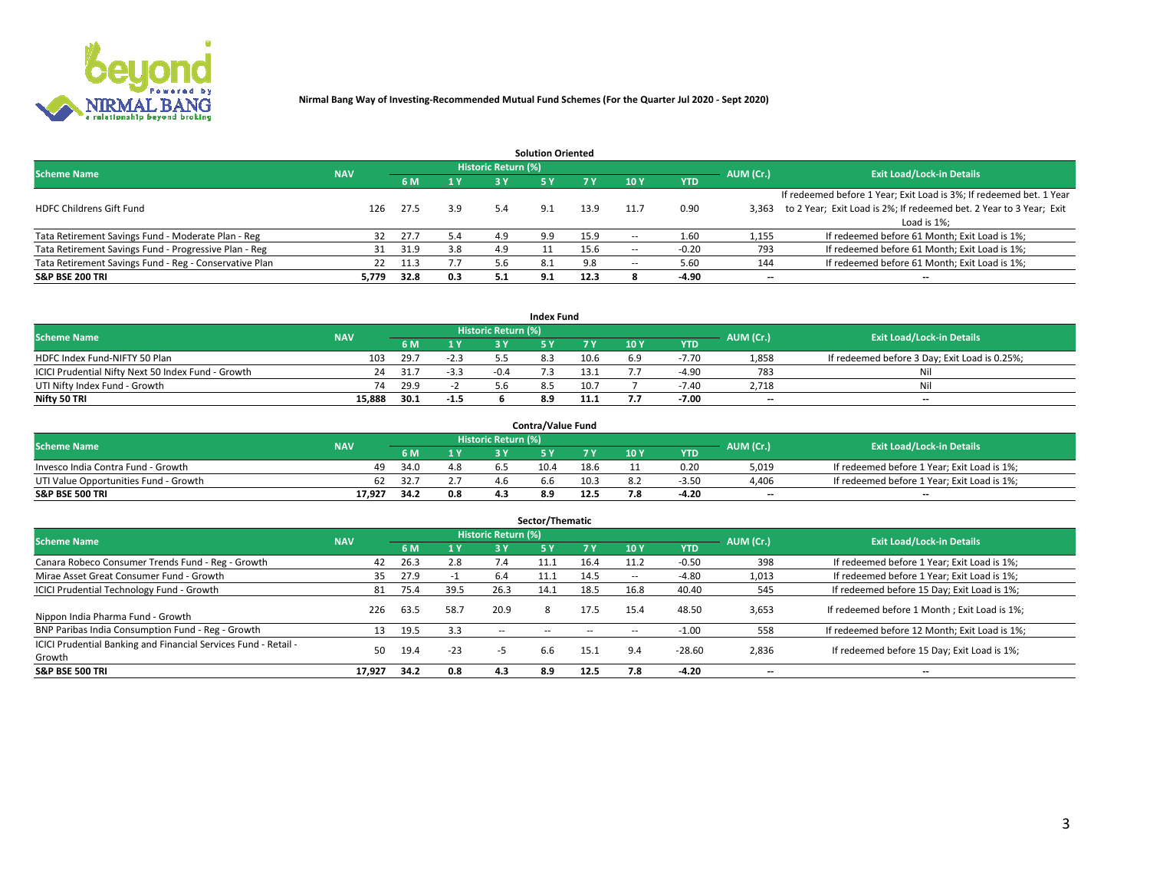

|                                                        |            |            |     |                            | <b>Solution Oriented</b> |      |                          |            |                          |                                                                     |
|--------------------------------------------------------|------------|------------|-----|----------------------------|--------------------------|------|--------------------------|------------|--------------------------|---------------------------------------------------------------------|
| <b>Scheme Name</b>                                     | <b>NAV</b> |            |     | <b>Historic Return (%)</b> |                          |      |                          |            | AUM (Cr.)                | <b>Exit Load/Lock-in Details</b>                                    |
|                                                        |            | <b>6 M</b> | 1 Y | 3 Y                        |                          |      | 10Y                      | <b>YTD</b> |                          |                                                                     |
|                                                        |            |            |     |                            |                          |      |                          |            |                          | If redeemed before 1 Year; Exit Load is 3%; If redeemed bet. 1 Year |
| <b>HDFC Childrens Gift Fund</b>                        | 126        | 27.5       | 3.9 | 5.4                        | 9.1                      | 13.9 | 11.7                     | 0.90       | 3.363                    | to 2 Year; Exit Load is 2%; If redeemed bet. 2 Year to 3 Year; Exit |
|                                                        |            |            |     |                            |                          |      |                          |            |                          | Load is 1%;                                                         |
| Tata Retirement Savings Fund - Moderate Plan - Reg     | 32         | 27.7       | 5.4 | 4.9                        | 9.9                      | 15.9 |                          | 1.60       | 1,155                    | If redeemed before 61 Month; Exit Load is 1%;                       |
| Tata Retirement Savings Fund - Progressive Plan - Reg  | 31         | 31.9       | 3.8 | 4.9                        |                          | 15.6 | $\overline{\phantom{a}}$ | $-0.20$    | 793                      | If redeemed before 61 Month; Exit Load is 1%;                       |
| Tata Retirement Savings Fund - Reg - Conservative Plan | 22         | 11.3       |     | 5.6                        | 8.1                      | 9.8  | --                       | 5.60       | 144                      | If redeemed before 61 Month; Exit Load is 1%;                       |
| S&P BSE 200 TRI                                        | 5,779      | 32.8       | 0.3 | 5.1                        | 9.1                      | 12.3 |                          | $-4.90$    | $\overline{\phantom{a}}$ | $- -$                                                               |

|                                                    |            |      |        |                            | <b>Index Fund</b> |      |      |            |                          |                                               |
|----------------------------------------------------|------------|------|--------|----------------------------|-------------------|------|------|------------|--------------------------|-----------------------------------------------|
| <b>Scheme Name</b>                                 | <b>NAV</b> |      |        | <b>Historic Return (%)</b> |                   |      |      |            | AUM (Cr.)                | <b>Exit Load/Lock-in Details</b>              |
|                                                    |            |      | 4V     | 2 V                        |                   | 7 V  | 10 Y | <b>YTD</b> |                          |                                               |
| HDFC Index Fund-NIFTY 50 Plan                      | 103        | 29.7 | -2.3   |                            |                   | 10.6 | 6.9  | $-7.70$    | 1,858                    | If redeemed before 3 Day; Exit Load is 0.25%; |
| ICICI Prudential Nifty Next 50 Index Fund - Growth | 24         | 31.7 | -3.3   |                            |                   | 13.1 |      | $-4.90$    | 783                      | Nil                                           |
| UTI Nifty Index Fund - Growth                      | 74         | 29.9 |        |                            |                   | 10.7 |      | $-7.40$    | 2,718                    | Nil                                           |
| Nifty 50 TRI                                       | 15.888     | 30.1 | $-1.5$ |                            | 8.9               | 11.1 |      | $-7.00$    | $\overline{\phantom{a}}$ | $- -$                                         |

|                                       |            |      |     |                            | <b>Contra/Value Fund</b> |      |     |            |                          |                                             |
|---------------------------------------|------------|------|-----|----------------------------|--------------------------|------|-----|------------|--------------------------|---------------------------------------------|
| <b>Scheme Name</b>                    | <b>NAV</b> |      |     | <b>Historic Return (%)</b> |                          |      |     |            | AUM (Cr.)                | <b>Exit Load/Lock-in Details</b>            |
|                                       |            |      | 1 V |                            |                          | 7 V  | 10Y | <b>YTD</b> |                          |                                             |
| Invesco India Contra Fund - Growth    | 49         | 34.0 | 4.8 |                            | 10.4                     | 18.6 |     | 0.20       | 5,019                    | If redeemed before 1 Year; Exit Load is 1%; |
| UTI Value Opportunities Fund - Growth | 62         | 32.7 |     |                            | າ.ຕ                      | 10.3 |     | $-3.5C$    | 4,406                    | If redeemed before 1 Year; Exit Load is 1%; |
| <b>S&amp;P BSE 500 TRI</b>            | 17.927     | 34.2 | 0.8 |                            |                          | 12.5 |     | $-4.20$    | $\overline{\phantom{a}}$ | $- -$                                       |

| Sector/Thematic                                                           |            |      |                |                            |           |           |                          |            |           |                                               |  |  |  |  |
|---------------------------------------------------------------------------|------------|------|----------------|----------------------------|-----------|-----------|--------------------------|------------|-----------|-----------------------------------------------|--|--|--|--|
| <b>Scheme Name</b>                                                        | <b>NAV</b> |      |                | <b>Historic Return (%)</b> |           |           |                          |            | AUM (Cr.) | <b>Exit Load/Lock-in Details</b>              |  |  |  |  |
|                                                                           |            | 6 M  | 1 <sub>Y</sub> | 3 Y                        | <b>5Y</b> | <b>7Y</b> | 10Y                      | <b>YTD</b> |           |                                               |  |  |  |  |
| Canara Robeco Consumer Trends Fund - Reg - Growth                         | 42         | 26.3 | 2.8            | 7.4                        | 11.1      | 16.4      | 11.2                     | $-0.50$    | 398       | If redeemed before 1 Year; Exit Load is 1%;   |  |  |  |  |
| Mirae Asset Great Consumer Fund - Growth                                  | 35         | 27.9 |                | 6.4                        | 11.1      | 14.5      | $\overline{\phantom{a}}$ | $-4.80$    | 1,013     | If redeemed before 1 Year; Exit Load is 1%;   |  |  |  |  |
| <b>ICICI Prudential Technology Fund - Growth</b>                          | 81         | 75.4 | 39.5           | 26.3                       | 14.1      | 18.5      | 16.8                     | 40.40      | 545       | If redeemed before 15 Day; Exit Load is 1%;   |  |  |  |  |
| Nippon India Pharma Fund - Growth                                         | 226        | 63.5 | 58.7           | 20.9                       | 8         | 17.5      | 15.4                     | 48.50      | 3,653     | If redeemed before 1 Month; Exit Load is 1%;  |  |  |  |  |
| BNP Paribas India Consumption Fund - Reg - Growth                         | 13         | 19.5 | 3.3            | $-$                        |           |           | -                        | $-1.00$    | 558       | If redeemed before 12 Month; Exit Load is 1%; |  |  |  |  |
| ICICI Prudential Banking and Financial Services Fund - Retail -<br>Growth | 50         | 19.4 | $-23$          | -5                         | 6.6       | 15.1      | 9.4                      | $-28.60$   | 2,836     | If redeemed before 15 Day; Exit Load is 1%;   |  |  |  |  |
| <b>S&amp;P BSE 500 TRI</b>                                                | 17.927     | 34.2 | 0.8            | 4.3                        | 8.9       | 12.5      | 7.8                      | $-4.20$    |           | --                                            |  |  |  |  |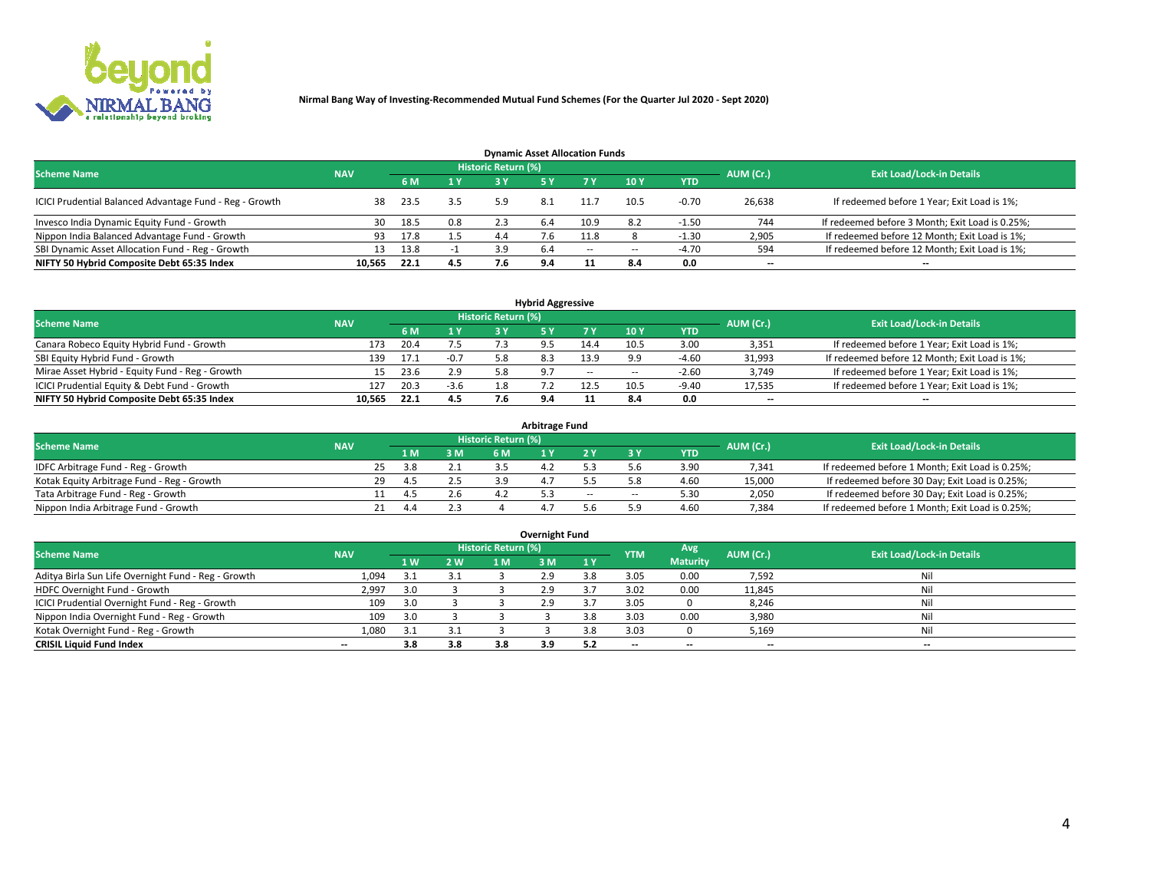

| <b>Dynamic Asset Allocation Funds</b>                   |            |                                  |     |     |     |        |      |            |                          |                                                 |  |  |  |  |
|---------------------------------------------------------|------------|----------------------------------|-----|-----|-----|--------|------|------------|--------------------------|-------------------------------------------------|--|--|--|--|
| <b>Scheme Name</b>                                      | AUM (Cr.)  | <b>Exit Load/Lock-in Details</b> |     |     |     |        |      |            |                          |                                                 |  |  |  |  |
|                                                         | <b>NAV</b> | 6 M                              | 1 Y | 3 Y |     |        | 10Y  | <b>YTD</b> |                          |                                                 |  |  |  |  |
| ICICI Prudential Balanced Advantage Fund - Reg - Growth | 38         | 23.5                             | 3.5 | 5.9 | 8.1 | 11.7   | 10.5 | $-0.70$    | 26,638                   | If redeemed before 1 Year; Exit Load is 1%;     |  |  |  |  |
| Invesco India Dynamic Equity Fund - Growth              | 30         | 18.5                             | 0.8 | 2.3 | 6.4 | 10.9   | 8.2  | $-1.50$    | 744                      | If redeemed before 3 Month; Exit Load is 0.25%; |  |  |  |  |
| Nippon India Balanced Advantage Fund - Growth           | 93         | 17.8                             | 1.5 | 4.4 |     | 11.8   |      | $-1.30$    | 2,905                    | If redeemed before 12 Month; Exit Load is 1%;   |  |  |  |  |
| SBI Dynamic Asset Allocation Fund - Reg - Growth        |            | 13.8                             |     | 3.9 | 6.4 | $\sim$ | --   | -4.70      | 594                      | If redeemed before 12 Month; Exit Load is 1%;   |  |  |  |  |
| NIFTY 50 Hybrid Composite Debt 65:35 Index              | 10,565     | 22.1                             | 4.5 |     | 9.4 |        | 8.4  | 0.0        | $\overline{\phantom{a}}$ | $- -$                                           |  |  |  |  |

| <b>Hybrid Aggressive</b>                        |            |      |        |                     |       |        |                          |            |                          |                                               |  |  |  |  |
|-------------------------------------------------|------------|------|--------|---------------------|-------|--------|--------------------------|------------|--------------------------|-----------------------------------------------|--|--|--|--|
| <b>Scheme Name</b>                              | <b>NAV</b> |      |        | Historic Return (%) |       |        |                          |            | AUM (Cr.)                | <b>Exit Load/Lock-in Details</b>              |  |  |  |  |
|                                                 |            | 6 M  | 1 Y    | RУ                  |       | 7 V    | 10Y                      | <b>YTD</b> |                          |                                               |  |  |  |  |
| Canara Robeco Equity Hybrid Fund - Growth       | 173        | 20.4 | 7.5    |                     |       | 14.4   | 10.5                     | 3.00       | 3,351                    | If redeemed before 1 Year; Exit Load is 1%;   |  |  |  |  |
| SBI Equity Hybrid Fund - Growth                 | 139        | 17.1 | $-0.7$ |                     |       | 13.9   |                          | $-4.60$    | 31,993                   | If redeemed before 12 Month; Exit Load is 1%; |  |  |  |  |
| Mirae Asset Hybrid - Equity Fund - Reg - Growth | 15         | 23.6 | 2.9    | 5.8                 | - Q 7 | $\sim$ | $\overline{\phantom{a}}$ | $-2.60$    | 3,749                    | If redeemed before 1 Year; Exit Load is 1%;   |  |  |  |  |
| ICICI Prudential Equity & Debt Fund - Growth    | 127        | 20.3 | $-3.6$ |                     |       | 12.5   | 10.5                     | $-9.40$    | 17,535                   | If redeemed before 1 Year; Exit Load is 1%;   |  |  |  |  |
| NIFTY 50 Hybrid Composite Debt 65:35 Index      | 10.565     | 22.1 | 4.5    |                     |       |        |                          | 0.0        | $\overline{\phantom{a}}$ | $- -$                                         |  |  |  |  |

| <b>Arbitrage Fund</b>                      |            |    |     |     |                     |     |        |        |            |           |                                                 |  |  |  |
|--------------------------------------------|------------|----|-----|-----|---------------------|-----|--------|--------|------------|-----------|-------------------------------------------------|--|--|--|
| <b>Scheme Name</b>                         | <b>NAV</b> |    |     |     | Historic Return (%) |     |        |        |            | AUM (Cr.) | <b>Exit Load/Lock-in Details</b>                |  |  |  |
|                                            |            |    | LΜ  | 3 M | <b>6M</b>           |     |        |        | <b>YTD</b> |           |                                                 |  |  |  |
| IDFC Arbitrage Fund - Reg - Growth         |            | 25 | 3.8 |     |                     | 4.4 |        |        | 3.90       | 7,341     | If redeemed before 1 Month; Exit Load is 0.25%; |  |  |  |
| Kotak Equity Arbitrage Fund - Reg - Growth |            | 29 | 45  |     |                     |     |        |        | 4.60       | 15,000    | If redeemed before 30 Day; Exit Load is 0.25%;  |  |  |  |
| Tata Arbitrage Fund - Reg - Growth         |            |    |     | 2.6 |                     |     | $\sim$ | $\sim$ | 5.30       | 2,050     | If redeemed before 30 Day; Exit Load is 0.25%;  |  |  |  |
| Nippon India Arbitrage Fund - Growth       |            |    | 44  |     |                     |     |        | ິດ     | 4.60       | 7,384     | If redeemed before 1 Month; Exit Load is 0.25%; |  |  |  |

| Overnight Fund                                      |            |     |     |                     |     |     |            |                 |                          |                                  |  |  |  |
|-----------------------------------------------------|------------|-----|-----|---------------------|-----|-----|------------|-----------------|--------------------------|----------------------------------|--|--|--|
| <b>Scheme Name</b>                                  | <b>NAV</b> |     |     | Historic Return (%) |     |     | <b>YTM</b> | Avg             | AUM (Cr.)                | <b>Exit Load/Lock-in Details</b> |  |  |  |
|                                                     |            | 1W  | 2 W | 1 M                 | : M | 1 Y |            | <b>Maturity</b> |                          |                                  |  |  |  |
| Aditya Birla Sun Life Overnight Fund - Reg - Growth | 1,094      |     | 3.1 |                     | 2.9 |     | 3.05       | 0.00            | 7,592                    | Nil                              |  |  |  |
| HDFC Overnight Fund - Growth                        | 2,997      | 3.0 |     |                     | 2.9 |     | 3.02       | 0.00            | 11,845                   | Nil                              |  |  |  |
| ICICI Prudential Overnight Fund - Reg - Growth      | 109        | 3.0 |     |                     | 2.9 |     | 3.05       |                 | 8,246                    | Nil                              |  |  |  |
| Nippon India Overnight Fund - Reg - Growth          | 109        | 3.0 |     |                     |     |     | 3.03       | 0.00            | 3,980                    | Nil                              |  |  |  |
| Kotak Overnight Fund - Reg - Growth                 | 1,080      |     | 3.1 |                     |     |     | 3.03       |                 | 5,169                    | Nil                              |  |  |  |
| <b>CRISIL Liquid Fund Index</b>                     | $- -$      | 3.8 | 3.8 | 3.8                 | 3.9 |     | --         | $- -$           | $\overline{\phantom{a}}$ | $- -$                            |  |  |  |

### **Overnight Fund**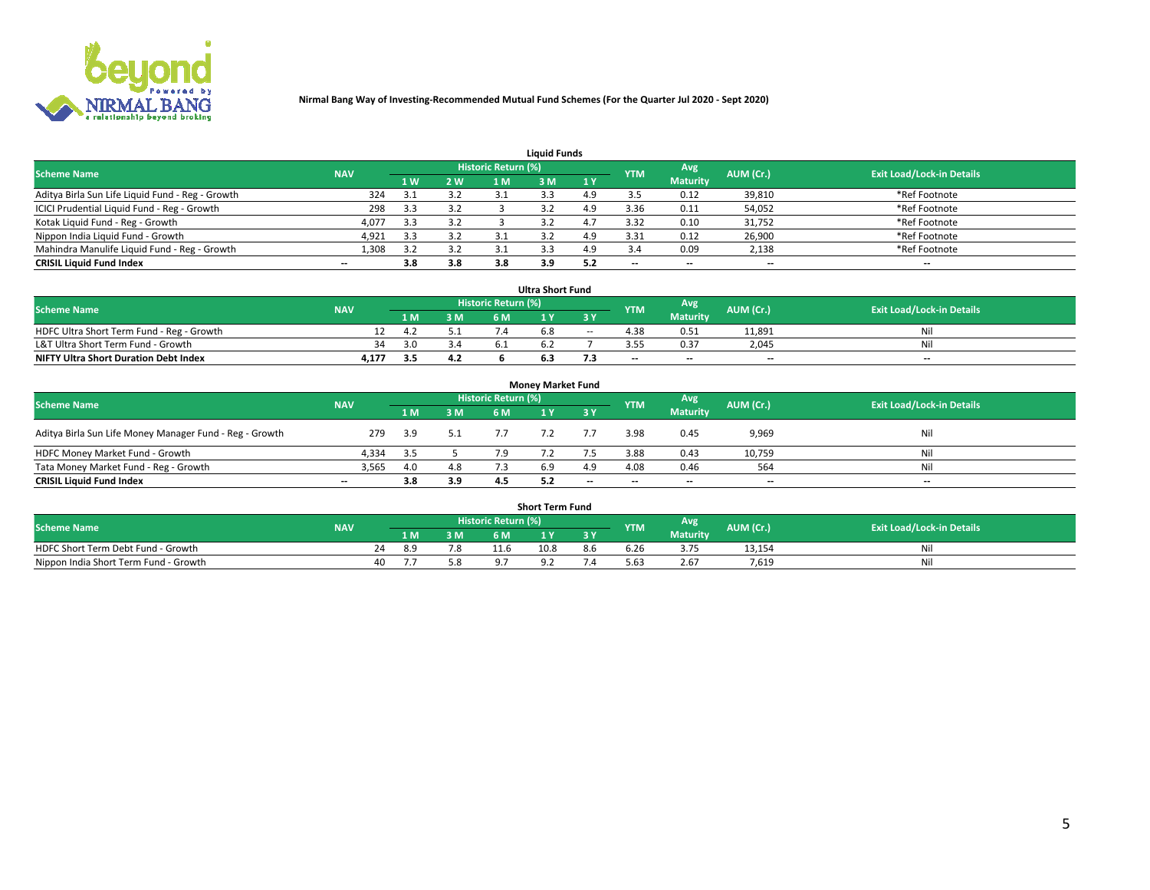

| <b>Liquid Funds</b>                              |            |     |     |                            |     |     |                          |                 |                          |                                  |  |  |  |  |
|--------------------------------------------------|------------|-----|-----|----------------------------|-----|-----|--------------------------|-----------------|--------------------------|----------------------------------|--|--|--|--|
| <b>Scheme Name</b>                               | <b>NAV</b> |     |     | <b>Historic Return (%)</b> |     |     | <b>YTM</b>               | Avg             | AUM (Cr.)                | <b>Exit Load/Lock-in Details</b> |  |  |  |  |
|                                                  |            | 1 W | 2 W | 1 M                        | 8 M | 1Y  |                          | <b>Maturity</b> |                          |                                  |  |  |  |  |
| Aditya Birla Sun Life Liquid Fund - Reg - Growth | 324        |     | 3.2 |                            |     | 4.9 |                          | 0.12            | 39,810                   | *Ref Footnote                    |  |  |  |  |
| ICICI Prudential Liquid Fund - Reg - Growth      | 298        | 3.3 | 3.2 |                            |     | 4.9 | 3.36                     | 0.11            | 54,052                   | *Ref Footnote                    |  |  |  |  |
| Kotak Liquid Fund - Reg - Growth                 | 4,077      | 3.3 | 3.2 |                            |     |     | 3.32                     | 0.10            | 31,752                   | *Ref Footnote                    |  |  |  |  |
| Nippon India Liquid Fund - Growth                | 4,921      | 3.3 | 3.2 |                            |     | 4.9 | 3.31                     | 0.12            | 26,900                   | *Ref Footnote                    |  |  |  |  |
| Mahindra Manulife Liquid Fund - Reg - Growth     | 1,308      | 39  | 3.2 |                            |     | 4.9 |                          | 0.09            | 2,138                    | *Ref Footnote                    |  |  |  |  |
| <b>CRISIL Liquid Fund Index</b>                  | $- -$      | 3.8 | 3.8 | 3.8                        | 3.9 | 5.2 | $\overline{\phantom{a}}$ | $- -$           | $\overline{\phantom{a}}$ | $\overline{\phantom{m}}$         |  |  |  |  |

| <b>Ultra Short Fund</b>                      |            |     |     |                            |     |        |                          |                 |                          |                                  |  |  |  |  |
|----------------------------------------------|------------|-----|-----|----------------------------|-----|--------|--------------------------|-----------------|--------------------------|----------------------------------|--|--|--|--|
| <b>Scheme Name</b>                           | <b>NAV</b> |     |     | <b>Historic Return (%)</b> |     |        | <b>YTM</b>               | Avg             | AUM (Cr.)                | <b>Exit Load/Lock-in Details</b> |  |  |  |  |
|                                              |            | 1 M | 3 M | 6 M                        |     | 3 Y    |                          | <b>Maturity</b> |                          |                                  |  |  |  |  |
| HDFC Ultra Short Term Fund - Reg - Growth    |            | 4.2 |     |                            | n.o | $\sim$ |                          | 0.51            | 11,891                   | Nil                              |  |  |  |  |
| L&T Ultra Short Term Fund - Growth           | 34         | 3.0 | 3.4 |                            |     |        | 3.55                     | 0.37            | 2.045                    | Nil                              |  |  |  |  |
| <b>NIFTY Ultra Short Duration Debt Index</b> | 4,177      | 3.5 | 4.2 |                            |     |        | $\overline{\phantom{a}}$ | $- -$           | $\overline{\phantom{a}}$ | $- -$                            |  |  |  |  |

| <b>Monev Market Fund</b>                                |                          |      |     |                     |     |           |            |                 |           |                                  |  |  |  |  |
|---------------------------------------------------------|--------------------------|------|-----|---------------------|-----|-----------|------------|-----------------|-----------|----------------------------------|--|--|--|--|
| <b>Scheme Name</b>                                      | <b>NAV</b>               |      |     | Historic Return (%) |     |           | <b>YTM</b> | Avg.            | AUM (Cr.) | <b>Exit Load/Lock-in Details</b> |  |  |  |  |
|                                                         |                          | 1 M  | 3 M | 6 M                 |     | <b>3Y</b> |            | <b>Maturity</b> |           |                                  |  |  |  |  |
| Aditya Birla Sun Life Money Manager Fund - Reg - Growth | 279                      | 3.9  | 5.1 |                     |     |           | 3.98       | 0.45            | 9,969     | Nil                              |  |  |  |  |
| HDFC Money Market Fund - Growth                         | 4.334                    | -3.5 |     |                     |     |           | 3.88       | 0.43            | 10,759    | Nil                              |  |  |  |  |
| Tata Money Market Fund - Reg - Growth                   | 3,565                    | 4.0  | 4.8 |                     | 6.9 | 4.9       | 4.08       | 0.46            | 564       | Nil                              |  |  |  |  |
| <b>CRISIL Liquid Fund Index</b>                         | $\overline{\phantom{a}}$ | 3.8  | 3.9 |                     |     | $-$       | $-$        | $- -$           | $- -$     | $\overline{\phantom{a}}$         |  |  |  |  |

|                                       | <b>Short Term Fund</b> |  |     |     |                                  |          |     |            |                 |           |                                  |  |  |  |  |
|---------------------------------------|------------------------|--|-----|-----|----------------------------------|----------|-----|------------|-----------------|-----------|----------------------------------|--|--|--|--|
| <b>Scheme Name</b>                    | <b>NAV</b>             |  |     |     | Historic Return (%) <sup> </sup> |          |     | <b>YTM</b> | Avg             | AUM (Cr.) | <b>Exit Load/Lock-in Details</b> |  |  |  |  |
|                                       |                        |  | 1 M | 3 M | 6 M                              | <b>A</b> | 2V  |            | <b>Maturity</b> |           |                                  |  |  |  |  |
| HDFC Short Term Debt Fund - Growth    |                        |  | אי  |     |                                  | 10.8     | 8.6 | b.Zb       | 3.75            | 13,154    | Nil                              |  |  |  |  |
| Nippon India Short Term Fund - Growth |                        |  |     |     |                                  |          |     | 5.63       | 2.67            | 7.619     | Nil                              |  |  |  |  |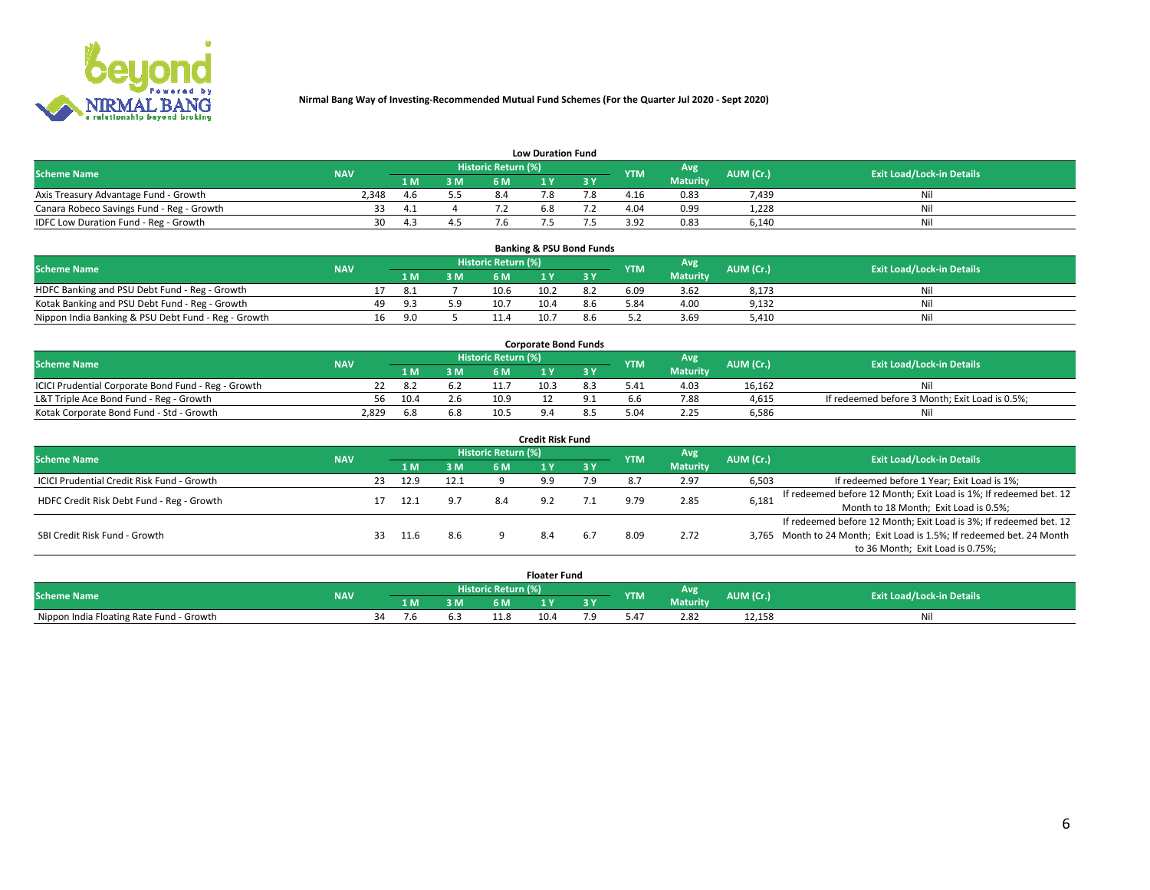

| <b>Low Duration Fund</b>                  |            |      |     |                     |     |     |                  |                 |           |                                  |  |  |  |  |
|-------------------------------------------|------------|------|-----|---------------------|-----|-----|------------------|-----------------|-----------|----------------------------------|--|--|--|--|
| <b>Scheme Name</b>                        | <b>NAV</b> |      |     | Historic Return (%) |     |     | <b>YTM</b>       | Avg             | AUM (Cr.) | <b>Exit Load/Lock-in Details</b> |  |  |  |  |
|                                           |            | L M. | 3 M |                     |     | 3 Y |                  | <b>Maturity</b> |           |                                  |  |  |  |  |
| Axis Treasury Advantage Fund - Growth     | 2.348      | 4.b  |     |                     |     |     | 4.16             | 0.83            | 7.439     | Nil                              |  |  |  |  |
| Canara Robeco Savings Fund - Reg - Growth |            | 4.1  |     |                     | b.ŏ |     | 4.04             | 0.99            | 1,228     | Nil                              |  |  |  |  |
| IDFC Low Duration Fund - Reg - Growth     | 30         | ⊿ વ  |     |                     |     |     | 2 Q <sub>2</sub> | 0.83            | 6,140     | Nil                              |  |  |  |  |

| <b>Banking &amp; PSU Bond Funds</b>                 |            |     |     |     |                     |      |     |            |                 |           |                                  |  |  |  |
|-----------------------------------------------------|------------|-----|-----|-----|---------------------|------|-----|------------|-----------------|-----------|----------------------------------|--|--|--|
| <b>Scheme Name</b>                                  | <b>NAV</b> |     |     |     | Historic Return (%) |      |     | <b>YTM</b> | Avg             | AUM (Cr.) | <b>Exit Load/Lock-in Details</b> |  |  |  |
|                                                     |            |     | 1 M | 3 M | 6 M                 |      | 2 V |            | <b>Maturity</b> |           |                                  |  |  |  |
| HDFC Banking and PSU Debt Fund - Reg - Growth       |            |     | 8.1 |     | 10.6                | 10.2 |     | 6.09       | 3.62            | 8,173     | Ni                               |  |  |  |
| Kotak Banking and PSU Debt Fund - Reg - Growth      |            | 49. | 9.3 | 5.9 | 10.7                | 10.4 | 8.6 | 5.84       | 4.00            | 9,132     | Ni                               |  |  |  |
| Nippon India Banking & PSU Debt Fund - Reg - Growth |            | 16  | 9.N |     | 11.4                | 10.7 |     |            | 3.69            | 5.410     | Ni                               |  |  |  |

| <b>Corporate Bond Funds</b>                         |            |      |     |                            |      |  |            |                 |           |                                                |  |  |  |  |
|-----------------------------------------------------|------------|------|-----|----------------------------|------|--|------------|-----------------|-----------|------------------------------------------------|--|--|--|--|
| <b>Scheme Name</b>                                  | <b>NAV</b> |      |     | <b>Historic Return (%)</b> |      |  | <b>YTM</b> | <b>Avg</b>      | AUM (Cr.) | <b>Exit Load/Lock-in Details</b>               |  |  |  |  |
|                                                     |            | 4 M. | 3 M | 6 M                        |      |  |            | <b>Maturity</b> |           |                                                |  |  |  |  |
| ICICI Prudential Corporate Bond Fund - Reg - Growth |            |      |     |                            | 10.3 |  | 5.41       | 4.03            | 16.162    |                                                |  |  |  |  |
| L&T Triple Ace Bond Fund - Reg - Growth             | 56.        | 10.4 | 2.6 | 10.9                       |      |  |            | 7.88            | 4,615     | If redeemed before 3 Month; Exit Load is 0.5%; |  |  |  |  |
| Kotak Corporate Bond Fund - Std - Growth            | 2.829      | 6.8  | 6.8 | 10.5                       |      |  |            | 2.25            | 6,586     | Nil                                            |  |  |  |  |

| <b>Credit Risk Fund</b>                    |            |    |      |      |                            |     |           |            |                 |           |                                                                       |  |  |  |
|--------------------------------------------|------------|----|------|------|----------------------------|-----|-----------|------------|-----------------|-----------|-----------------------------------------------------------------------|--|--|--|
| <b>Scheme Name</b>                         | <b>NAV</b> |    |      |      | <b>Historic Return (%)</b> |     |           | <b>YTM</b> | Avg             | AUM (Cr.) | <b>Exit Load/Lock-in Details</b>                                      |  |  |  |
|                                            |            |    | 1 M  | 3 M  | 6 M                        |     | <b>3Y</b> |            | <b>Maturity</b> |           |                                                                       |  |  |  |
| ICICI Prudential Credit Risk Fund - Growth |            | 23 | 12.9 | 12.1 |                            | - വ | 7.9       |            | 2.97            | 6,503     | If redeemed before 1 Year; Exit Load is 1%;                           |  |  |  |
| HDFC Credit Risk Debt Fund - Reg - Growth  |            |    | 12.1 |      | 8.4                        |     |           |            | 2.85            | 6,181     | If redeemed before 12 Month; Exit Load is 1%; If redeemed bet. 12     |  |  |  |
|                                            |            |    |      |      |                            |     |           |            |                 |           | Month to 18 Month; Exit Load is 0.5%;                                 |  |  |  |
|                                            |            |    |      |      |                            |     |           |            |                 |           | If redeemed before 12 Month; Exit Load is 3%; If redeemed bet. 12     |  |  |  |
| SBI Credit Risk Fund - Growth              |            | 33 | 11.6 | 8.6  |                            |     |           | -8.05      | 2.72            |           | 3,765 Month to 24 Month; Exit Load is 1.5%; If redeemed bet. 24 Month |  |  |  |
|                                            |            |    |      |      |                            |     |           |            |                 |           | to 36 Month; Exit Load is 0.75%;                                      |  |  |  |

| <b>Floater Fund</b>                      |            |    |     |    |                     |      |   |               |                 |           |                                  |
|------------------------------------------|------------|----|-----|----|---------------------|------|---|---------------|-----------------|-----------|----------------------------------|
| <b>Scheme Name</b>                       | <b>NAV</b> |    |     |    | Historic Return (%) |      |   | <b>YTM</b>    | Avg             | AUM (Cr.) | <b>Exit Load/Lock-in Details</b> |
|                                          |            |    | 1 M | ЗM | 5M                  | .    | . |               | <b>Maturity</b> |           |                                  |
| Nippon India Floating Rate Fund - Growth |            | 34 |     |    |                     | 10.4 |   | $0.4^{\circ}$ | 2.82            | 12,158    | NL                               |